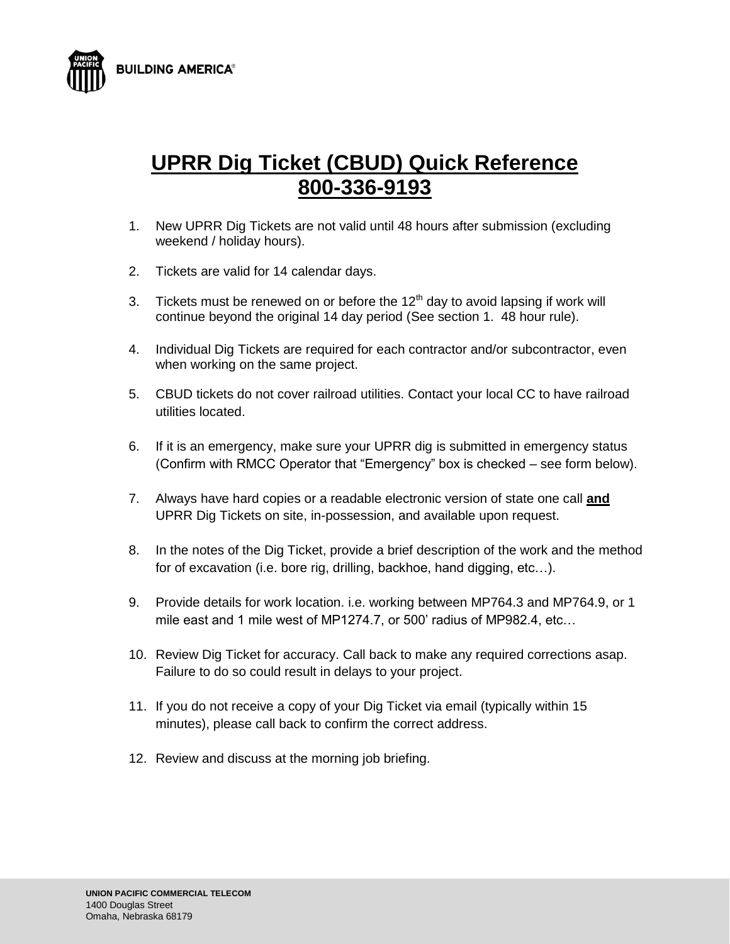



## **UPRR Dig Ticket (CBUD) Quick Reference 800-336-9193**

- 1. New UPRR Dig Tickets are not valid until 48 hours after submission (excluding weekend / holiday hours).
- 2. Tickets are valid for 14 calendar days.
- 3. Tickets must be renewed on or before the  $12<sup>th</sup>$  day to avoid lapsing if work will continue beyond the original 14 day period (See section 1. 48 hour rule).
- 4. Individual Dig Tickets are required for each contractor and/or subcontractor, even when working on the same project.
- 5. CBUD tickets do not cover railroad utilities. Contact your local CC to have railroad utilities located.
- 6. If it is an emergency, make sure your UPRR dig is submitted in emergency status (Confirm with RMCC Operator that "Emergency" box is checked – see form below).
- 7. Always have hard copies or a readable electronic version of state one call **and** UPRR Dig Tickets on site, in-possession, and available upon request.
- 8. In the notes of the Dig Ticket, provide a brief description of the work and the method for of excavation (i.e. bore rig, drilling, backhoe, hand digging, etc…).
- 9. Provide details for work location. i.e. working between MP764.3 and MP764.9, or 1 mile east and 1 mile west of MP1274.7, or 500' radius of MP982.4, etc…
- 10. Review Dig Ticket for accuracy. Call back to make any required corrections asap. Failure to do so could result in delays to your project.
- 11. If you do not receive a copy of your Dig Ticket via email (typically within 15 minutes), please call back to confirm the correct address.
- 12. Review and discuss at the morning job briefing.